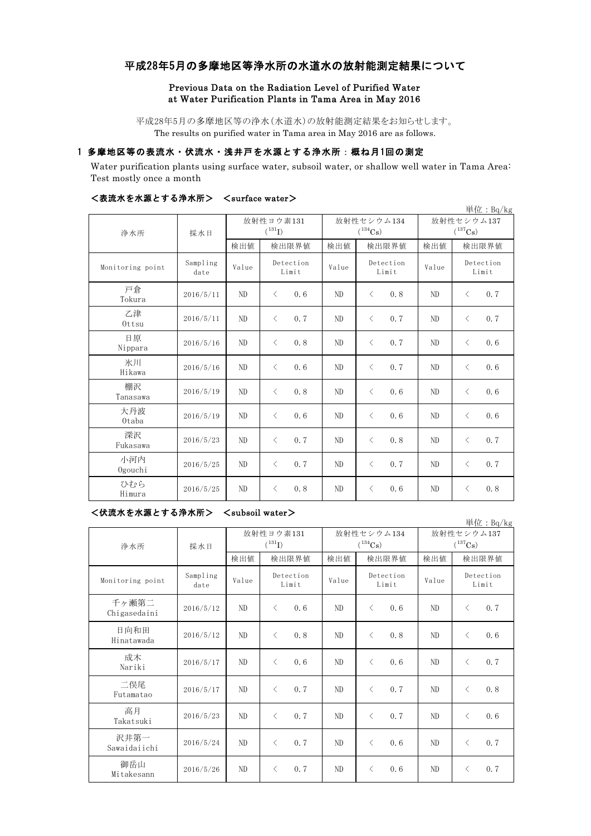# 平成28年5月の多摩地区等浄水所の水道水の放射能測定結果について

### Previous Data on the Radiation Level of Purified Water at Water Purification Plants in Tama Area in May 2016

平成28年5月の多摩地区等の浄水(水道水)の放射能測定結果をお知らせします。 The results on purified water in Tama area in May 2016 are as follows.

## 1 多摩地区等の表流水・伏流水・浅井戸を水源とする浄水所:概ね月1回の測定

Water purification plants using surface water, subsoil water, or shallow well water in Tama Area: Test mostly once a month

|                  |                  |                          |                    |                            |                    |                            | 単位: Bq/kg          |
|------------------|------------------|--------------------------|--------------------|----------------------------|--------------------|----------------------------|--------------------|
| 浄水所              | 採水日              | 放射性ヨウ素131<br>$(^{131}I)$ |                    | 放射性セシウム134<br>$(^{134}Cs)$ |                    | 放射性セシウム137<br>$(^{137}Cs)$ |                    |
|                  |                  | 検出値                      | 検出限界値              | 検出値                        | 検出限界値              | 検出値                        | 検出限界値              |
| Monitoring point | Sampling<br>date | Value                    | Detection<br>Limit | Value                      | Detection<br>Limit | Value                      | Detection<br>Limit |
| 戸倉<br>Tokura     | 2016/5/11        | ND                       | 0.6<br>$\langle$   | ND                         | 0.8<br>$\langle$   | ND                         | 0.7<br>$\langle$   |
| 乙津<br>Ottsu      | 2016/5/11        | ND                       | $\langle$<br>0.7   | ND                         | 0.7<br>$\langle$   | ND                         | 0.7<br>$\langle$   |
| 日原<br>Nippara    | 2016/5/16        | ND                       | 0.8<br>$\langle$   | ND                         | 0.7<br>$\langle$   | ND                         | $\langle$<br>0.6   |
| 氷川<br>Hikawa     | 2016/5/16        | ND                       | $\langle$<br>0.6   | ND                         | 0.7<br>$\langle$   | ND                         | $\langle$<br>0.6   |
| 棚沢<br>Tanasawa   | 2016/5/19        | ND                       | 0.8<br>$\langle$   | ND                         | $\langle$<br>0.6   | ND                         | 0.6<br>$\langle$   |
| 大丹波<br>Otaba     | 2016/5/19        | ND                       | 0.6<br>$\langle$   | ND                         | 0.6<br>$\langle$   | ND                         | 0.6<br>$\langle$   |
| 深沢<br>Fukasawa   | 2016/5/23        | ND                       | 0.7<br>$\langle$   | ND                         | 0.8<br>$\langle$   | ND                         | 0.7<br>$\langle$   |
| 小河内<br>Ogouchi   | 2016/5/25        | ND                       | 0.7<br>$\langle$   | ND                         | 0.7<br>$\langle$   | ND                         | 0.7<br>$\langle$   |
| ひむら<br>Himura    | 2016/5/25        | ND                       | 0.8<br>$\langle$   | ND                         | $\langle$<br>0, 6  | ND                         | $\lt$<br>0.8       |

#### <表流水を水源とする浄水所> <surface water>

<伏流水を水源とする浄水所> <subsoil water>

単位:Bq/kg 検出値 検出限界値 検出値 検出値 検出値 Monitoring point Sampling<br>date mpiing Value Deceetion Value Deceetion Value 千ヶ瀬第二<br>Chigasedaini Chigasedaini 2016/5/12 ND < 0.6 ND < 0.6 ND < 0.7 日向和田 Hinatawada 2016/5/12 ND <sup>&</sup>lt; 0.8 ND <sup>&</sup>lt; 0.8 ND <sup>&</sup>lt; 0.6 成木  $\frac{1}{20}$   $\frac{1}{2016/5/17}$  ND  $\leq 0.6$  ND  $\leq 0.6$  ND  $\leq 0.7$ 二俣尾 Futamatao 2016/5/17 ND <sup>&</sup>lt; 0.7 ND <sup>&</sup>lt; 0.7 ND <sup>&</sup>lt; 0.8 高月 Takatsuki 2016/5/23 ND < 0.7 ND < 0.7 ND < 0.6 沢井第一  $S$ awaidaiichi 2016/5/24 ND < 0.7 ND < 0.6 ND < 0.7 御岳山 Mitakesann 2016/5/26 ND < 0.7 ND < 0.6 ND < 0.7 放射性ヨウ素131  $(^{131}I)$ 放射性セシウム134  $(^{134}Cs)$ 放射性セシウム137  $(^{137}Cs)$ 検出限界値 検出値 検出限界値 Detection Limit Detection Limit Detection Limit 浄水所 採水日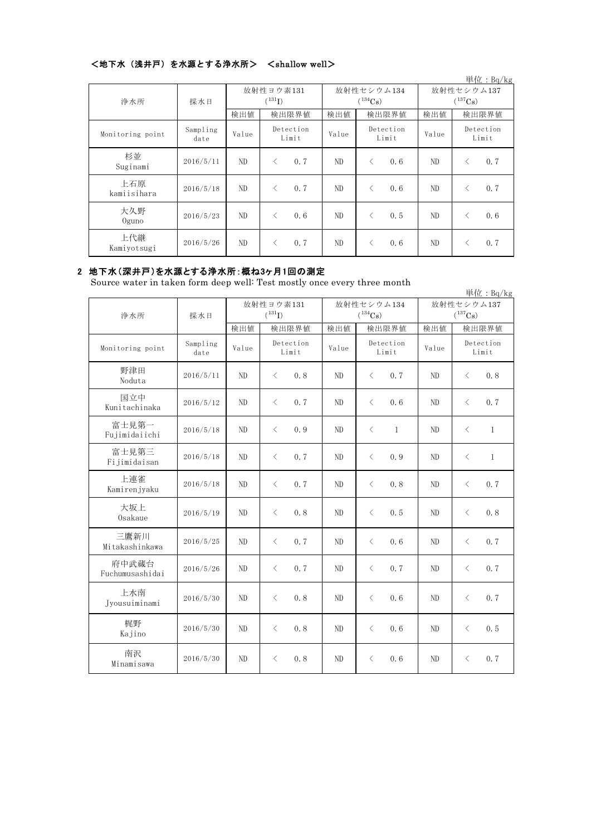# <地下水(浅井戸)を水源とする浄水所> <shallow well>

|                    |                  |                      |                    |              |                    |              | 単位: $Bq/kg$        |
|--------------------|------------------|----------------------|--------------------|--------------|--------------------|--------------|--------------------|
| 浄水所                | 採水日              | 放射性ヨウ素131            |                    | 放射性セシウム134   |                    | 放射性セシウム137   |                    |
|                    |                  | $(^{131}\mathrm{I})$ |                    | $(^{134}Cs)$ |                    | $(^{137}Cs)$ |                    |
|                    |                  | 検出値                  | 検出限界値              | 検出値          | 検出限界値              | 検出値          | 検出限界値              |
| Monitoring point   | Sampling<br>date | Value                | Detection<br>Limit | Value        | Detection<br>Limit | Value        | Detection<br>Limit |
| 杉並<br>Suginami     | 2016/5/11        | ND                   | 0.7<br>⟨           | ND           | 0.6<br>⟨           | ND           | 0.7<br>く           |
| 上石原<br>kamiisihara | 2016/5/18        | ND.                  | 0.7<br>⟨           | ND.          | 0.6<br>✓           | ND           | 0.7<br>$\langle$   |
| 大久野<br>$0$ guno    | 2016/5/23        | ND                   | 0.6<br>$\langle$   | ND           | 0.5<br>ぐ           | ND           | 0.6<br>$\lt$       |
| 上代継<br>Kamiyotsugi | 2016/5/26        | ND                   | 0.7<br>◁           | ND           | 0.6                | ND.          | 0.7<br>$\lt$       |

# 2 地下水(深井戸)を水源とする浄水所:概ね3ヶ月1回の測定

Source water in taken form deep well: Test mostly once every three month

|                          |                  |             |                    |              |                       |              | 単位: Bq/kg                 |
|--------------------------|------------------|-------------|--------------------|--------------|-----------------------|--------------|---------------------------|
|                          |                  | 放射性ヨウ素131   |                    | 放射性セシウム134   |                       | 放射性セシウム137   |                           |
| 浄水所                      | 採水日              | $(^{131}I)$ |                    | $(^{134}Cs)$ |                       | $(^{137}Cs)$ |                           |
|                          |                  | 検出値         | 検出限界値              | 検出値          | 検出限界値                 | 検出値          | 検出限界値                     |
| Monitoring point         | Sampling<br>date | Value       | Detection<br>Limit | Value        | Detection<br>Limit    | Value        | Detection<br>Limit        |
| 野津田<br>Noduta            | 2016/5/11        | ND          | $\langle$<br>0.8   | ND           | $\langle$<br>0.7      | ND           | $\langle$<br>0.8          |
| 国立中<br>Kunitachinaka     | 2016/5/12        | ND          | $\langle$<br>0.7   | ND           | $\lt$<br>0.6          | ND           | $\lt$<br>0.7              |
| 富士見第一<br>Fujimidaiichi   | 2016/5/18        | ND          | $\langle$<br>0.9   | ND           | $\lt$<br>$\mathbf{1}$ | ND           | $\langle$<br>$\mathbf{1}$ |
| 富士見第三<br>Fijimidaisan    | 2016/5/18        | ND          | 0.7<br>$\langle$   | ND           | $\langle$<br>0.9      | ND           | $\mathbf{1}$<br>$\lt$     |
| 上連雀<br>Kamirenjyaku      | 2016/5/18        | ND          | $\langle$<br>0.7   | ND           | $\langle$<br>0.8      | ND           | 0.7<br>$\lt$              |
| 大坂上<br>Osakaue           | 2016/5/19        | ND          | $\langle$<br>0.8   | ND           | $\lt$<br>0.5          | ND           | $\langle$<br>0.8          |
| 三鷹新川<br>Mitakashinkawa   | 2016/5/25        | ND          | $\langle$<br>0.7   | ND           | $\langle$<br>0.6      | ND           | 0.7<br>$\lt$              |
| 府中武蔵台<br>Fuchumusashidai | 2016/5/26        | ND          | $\langle$<br>0.7   | ND           | $\langle$<br>0.7      | ND           | 0.7<br>$\langle$          |
| 上水南<br>Jyousuiminami     | 2016/5/30        | ND          | $\langle$<br>0.8   | ND           | $\langle$<br>0.6      | ND           | 0.7<br>$\langle$          |
| 梶野<br>Kajino             | 2016/5/30        | ND          | 0.8<br>$\langle$   | ND           | 0.6<br>$\langle$      | ND           | 0.5<br>$\langle$          |
| 南沢<br>Minamisawa         | 2016/5/30        | ND          | $\langle$<br>0.8   | ND           | 0.6<br>$\lt$          | ND           | 0.7<br>$\lt$              |